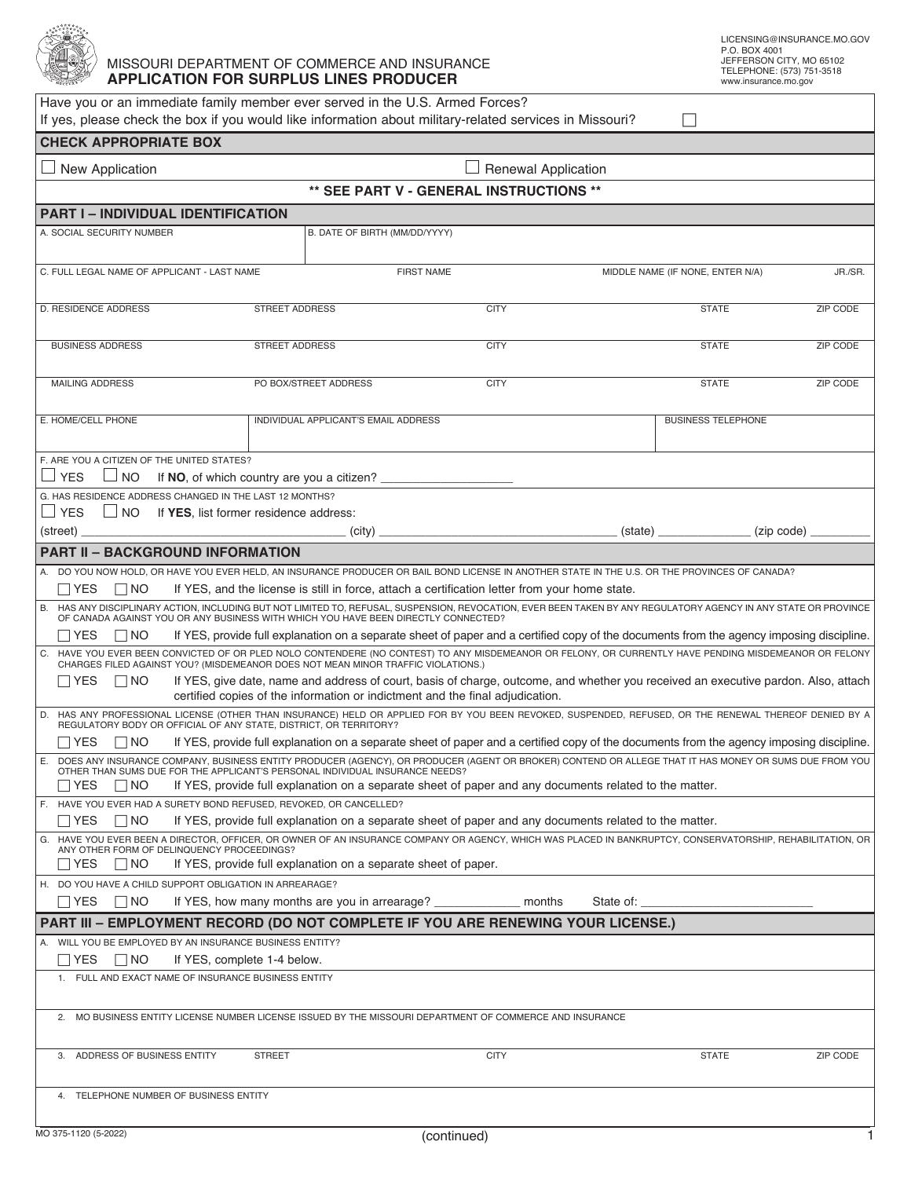

## MISSOURI DEPARTMENT OF COMMERCE AND INSURANCE **APPLICATION FOR SURPLUS LINES PRODUCER**

| Have you or an immediate family member ever served in the U.S. Armed Forces?<br>If yes, please check the box if you would like information about military-related services in Missouri?                                                                |                                                                                                |                   |           |                                  |                                  |  |  |  |  |
|--------------------------------------------------------------------------------------------------------------------------------------------------------------------------------------------------------------------------------------------------------|------------------------------------------------------------------------------------------------|-------------------|-----------|----------------------------------|----------------------------------|--|--|--|--|
| <b>CHECK APPROPRIATE BOX</b>                                                                                                                                                                                                                           |                                                                                                |                   |           |                                  |                                  |  |  |  |  |
| $\Box$ New Application<br><b>Renewal Application</b>                                                                                                                                                                                                   |                                                                                                |                   |           |                                  |                                  |  |  |  |  |
| ** SEE PART V - GENERAL INSTRUCTIONS **                                                                                                                                                                                                                |                                                                                                |                   |           |                                  |                                  |  |  |  |  |
| <b>PART I - INDIVIDUAL IDENTIFICATION</b>                                                                                                                                                                                                              |                                                                                                |                   |           |                                  |                                  |  |  |  |  |
| A. SOCIAL SECURITY NUMBER                                                                                                                                                                                                                              | B. DATE OF BIRTH (MM/DD/YYYY)                                                                  |                   |           |                                  |                                  |  |  |  |  |
|                                                                                                                                                                                                                                                        |                                                                                                |                   |           |                                  |                                  |  |  |  |  |
| C. FULL LEGAL NAME OF APPLICANT - LAST NAME                                                                                                                                                                                                            |                                                                                                | <b>FIRST NAME</b> |           | MIDDLE NAME (IF NONE, ENTER N/A) |                                  |  |  |  |  |
| <b>D. RESIDENCE ADDRESS</b>                                                                                                                                                                                                                            | <b>STREET ADDRESS</b>                                                                          | <b>CITY</b>       |           | <b>STATE</b>                     | $\blacktriangledown$<br>ZIP CODE |  |  |  |  |
| <b>BUSINESS ADDRESS</b>                                                                                                                                                                                                                                | <b>STREET ADDRESS</b>                                                                          | <b>CITY</b>       |           | <b>STATE</b>                     | ZIP CODE                         |  |  |  |  |
| <b>MAILING ADDRESS</b>                                                                                                                                                                                                                                 | PO BOX/STREET ADDRESS                                                                          | <b>CITY</b>       |           | <b>STATE</b>                     | ZIP CODE                         |  |  |  |  |
| E. HOME/CELL PHONE                                                                                                                                                                                                                                     | INDIVIDUAL APPLICANT'S EMAIL ADDRESS                                                           |                   |           | <b>BUSINESS TELEPHONE</b>        |                                  |  |  |  |  |
|                                                                                                                                                                                                                                                        |                                                                                                |                   |           |                                  |                                  |  |  |  |  |
| F. ARE YOU A CITIZEN OF THE UNITED STATES?                                                                                                                                                                                                             |                                                                                                |                   |           |                                  |                                  |  |  |  |  |
| <b>YES</b><br>$\Box$ No<br>G. HAS RESIDENCE ADDRESS CHANGED IN THE LAST 12 MONTHS?                                                                                                                                                                     |                                                                                                |                   |           |                                  |                                  |  |  |  |  |
| $\Box$ YES<br>$\Box$ NO If <b>YES</b> , list former residence address:                                                                                                                                                                                 |                                                                                                |                   |           |                                  |                                  |  |  |  |  |
| (street)                                                                                                                                                                                                                                               |                                                                                                |                   |           | (zip code)                       |                                  |  |  |  |  |
| <b>PART II - BACKGROUND INFORMATION</b>                                                                                                                                                                                                                |                                                                                                |                   |           |                                  |                                  |  |  |  |  |
| DO YOU NOW HOLD, OR HAVE YOU EVER HELD, AN INSURANCE PRODUCER OR BAIL BOND LICENSE IN ANOTHER STATE IN THE U.S. OR THE PROVINCES OF CANADA?                                                                                                            |                                                                                                |                   |           |                                  |                                  |  |  |  |  |
| $\Box$ YES<br>$\Box$ No                                                                                                                                                                                                                                | If YES, and the license is still in force, attach a certification letter from your home state. |                   |           |                                  |                                  |  |  |  |  |
| B. HAS ANY DISCIPLINARY ACTION, INCLUDING BUT NOT LIMITED TO, REFUSAL, SUSPENSION, REVOCATION, EVER BEEN TAKEN BY ANY REGULATORY AGENCY IN ANY STATE OR PROVINCE<br>OF CANADA AGAINST YOU OR ANY BUSINESS WITH WHICH YOU HAVE BEEN DIRECTLY CONNECTED? |                                                                                                |                   |           |                                  |                                  |  |  |  |  |
| If YES, provide full explanation on a separate sheet of paper and a certified copy of the documents from the agency imposing discipline.<br>$\Box$ Yes<br>$\Box$ NO                                                                                    |                                                                                                |                   |           |                                  |                                  |  |  |  |  |
| C. HAVE YOU EVER BEEN CONVICTED OF OR PLED NOLO CONTENDERE (NO CONTEST) TO ANY MISDEMEANOR OR FELONY, OR CURRENTLY HAVE PENDING MISDEMEANOR OR FELONY CHARGES FILED AGAINST YOU? (MISDEMEANOR DOES NOT MEAN MINOR TRAFFIC VIOL                         |                                                                                                |                   |           |                                  |                                  |  |  |  |  |
| If YES, give date, name and address of court, basis of charge, outcome, and whether you received an executive pardon. Also, attach<br>$\Box$ Yes<br>$\Box$ No<br>certified copies of the information or indictment and the final adjudication.         |                                                                                                |                   |           |                                  |                                  |  |  |  |  |
| HAS ANY PROFESSIONAL LICENSE (OTHER THAN INSURANCE) HELD OR APPLIED FOR BY YOU BEEN REVOKED, SUSPENDED, REFUSED, OR THE RENEWAL THEREOF DENIED BY A<br>REGULATORY BODY OR OFFICIAL OF ANY STATE, DISTRICT, OR TERRITORY?                               |                                                                                                |                   |           |                                  |                                  |  |  |  |  |
| If YES, provide full explanation on a separate sheet of paper and a certified copy of the documents from the agency imposing discipline.<br>$\Box$ YES $\Box$ NO                                                                                       |                                                                                                |                   |           |                                  |                                  |  |  |  |  |
| E. DOES ANY INSURANCE COMPANY, BUSINESS ENTITY PRODUCER (AGENCY), OR PRODUCER (AGENT OR BROKER) CONTEND OR ALLEGE THAT IT HAS MONEY OR SUMS DUE FROM YOU<br>OTHER THAN SUMS DUE FOR THE APPLICANT'S PERSONAL INDIVIDUAL INSURANCE NEEDS?               |                                                                                                |                   |           |                                  |                                  |  |  |  |  |
| $\Box$ Yes<br>$\Box$ No<br>If YES, provide full explanation on a separate sheet of paper and any documents related to the matter.<br>F. HAVE YOU EVER HAD A SURETY BOND REFUSED, REVOKED, OR CANCELLED?                                                |                                                                                                |                   |           |                                  |                                  |  |  |  |  |
| If YES, provide full explanation on a separate sheet of paper and any documents related to the matter.<br>$\Box$ YES<br>$\Box$ No                                                                                                                      |                                                                                                |                   |           |                                  |                                  |  |  |  |  |
| G. HAVE YOU EVER BEEN A DIRECTOR, OFFICER, OR OWNER OF AN INSURANCE COMPANY OR AGENCY, WHICH WAS PLACED IN BANKRUPTCY, CONSERVATORSHIP, REHABILITATION, OR<br>ANY OTHER FORM OF DELINQUENCY PROCEEDINGS?                                               |                                                                                                |                   |           |                                  |                                  |  |  |  |  |
| $\Box$ Yes<br>$\Box$ NO                                                                                                                                                                                                                                | If YES, provide full explanation on a separate sheet of paper.                                 |                   |           |                                  |                                  |  |  |  |  |
| H. DO YOU HAVE A CHILD SUPPORT OBLIGATION IN ARREARAGE?                                                                                                                                                                                                |                                                                                                |                   |           |                                  |                                  |  |  |  |  |
| $\Box$ YES<br>$\vert$ $\vert$ NO                                                                                                                                                                                                                       | If YES, how many months are you in arrearage?                                                  |                   | State of: |                                  |                                  |  |  |  |  |
| PART III - EMPLOYMENT RECORD (DO NOT COMPLETE IF YOU ARE RENEWING YOUR LICENSE.)                                                                                                                                                                       |                                                                                                |                   |           |                                  |                                  |  |  |  |  |
| A. WILL YOU BE EMPLOYED BY AN INSURANCE BUSINESS ENTITY?                                                                                                                                                                                               |                                                                                                |                   |           |                                  |                                  |  |  |  |  |
| $\Box$ YES<br>$\Box$ No<br>If YES, complete 1-4 below.<br>1. FULL AND EXACT NAME OF INSURANCE BUSINESS ENTITY                                                                                                                                          |                                                                                                |                   |           |                                  |                                  |  |  |  |  |
|                                                                                                                                                                                                                                                        |                                                                                                |                   |           |                                  |                                  |  |  |  |  |
| MO BUSINESS ENTITY LICENSE NUMBER LICENSE ISSUED BY THE MISSOURI DEPARTMENT OF COMMERCE AND INSURANCE<br>2.                                                                                                                                            |                                                                                                |                   |           |                                  |                                  |  |  |  |  |
| 3. ADDRESS OF BUSINESS ENTITY                                                                                                                                                                                                                          | <b>STREET</b>                                                                                  | <b>CITY</b>       |           | <b>STATE</b>                     | ZIP CODE                         |  |  |  |  |
| 4. TELEPHONE NUMBER OF BUSINESS ENTITY                                                                                                                                                                                                                 |                                                                                                |                   |           |                                  |                                  |  |  |  |  |